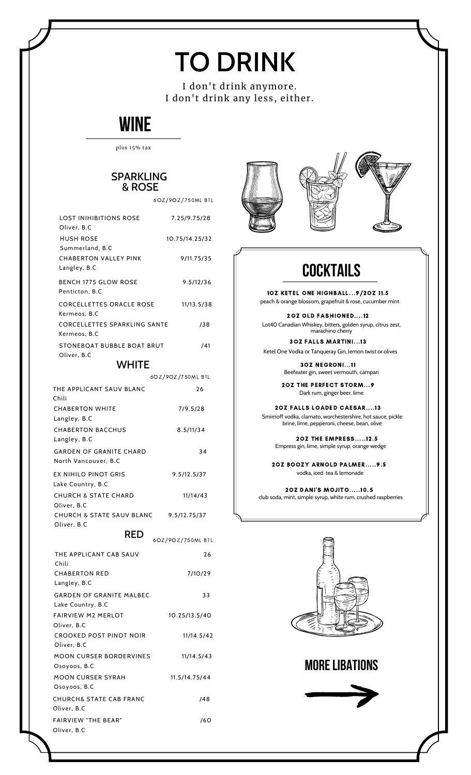# TO DRINK

I don't drink anymore. I don't drink any less, either.

### **WINE**

#### plus 15% tax

### SPARKLING & ROSE

6OZ/9OZ/750ML BTL

| <b>LOST INIHIBITIONS ROSE</b><br>Oliver, B.C           | 7.25/9.75/28      |  |
|--------------------------------------------------------|-------------------|--|
| <b>HUSH ROSE</b><br>Summerland, B.C                    | 10.75/14.25/32    |  |
| <b>CHABERTON VALLEY PINK</b><br>Langley, B.C           | 9/11.75/35        |  |
| <b>BENCH 1775 GLOW ROSE</b><br>Penticton, B.C          | 9.5/12/36         |  |
| <b>CORCELLETTES ORACLE ROSE</b><br>Kermeos, B.C        | 11/13.5/38        |  |
| <b>CORCELLETTES SPARKLING SANTE</b><br>Kermeos, B.C    | /38               |  |
| STONEBOAT BUBBLE BOAT BRUT<br>Oliver, B.C              | /41               |  |
| <b>WHITE</b>                                           |                   |  |
|                                                        | 6OZ/9OZ/750ML BTL |  |
| THE APPLICANT SAUV BLANC<br>Chili                      | 26                |  |
| <b>CHABERTON WHITE</b><br>Langley, B.C                 | 7/9.5/28          |  |
| <b>CHABERTON BACCHUS</b><br>Langley, B.C               | 8.5/11/34         |  |
| <b>GARDEN OF GRANITE CHARD</b><br>North Vancouver, B.C | 34                |  |
| EX NIHILO PINOT GRIS<br>Lake Country, B.C              | 9.5/12.5/37       |  |
| <b>CHURCH &amp; STATE CHARD</b><br>Oliver, B.C         | 11/14/43          |  |
| CHURCH & STATE SAUV BLANC<br>Oliver, B.C               | 9.5/12.75/37      |  |
| <b>RED</b><br>6OZ/9OZ/750ML BTL                        |                   |  |
| THE APPLICANT CAB SAUV<br>Chili                        | 26                |  |
| <b>CHABERTON RED</b><br>Langley, B.C                   | 7/10/29           |  |
| <b>GARDEN OF GRANITE MALBEC</b><br>Lake Country R.C.   | 33                |  |

| <b>GARDEN OF GRANITE MALBEC</b>        | 33            |
|----------------------------------------|---------------|
| Lake Country, B.C                      |               |
| <b>FAIRVIFW M2 MFRI OT</b>             | 10.25/13.5/40 |
| Oliver, B.C                            |               |
| CROOKED POST PINOT NOIR<br>Oliver, B.C | 11/14.5/42    |
| <b>MOON CURSER BORDERVINES</b>         | 11/14.5/43    |
| Osoyoos, B.C                           |               |
| MOON CURSER SYRAH                      | 11.5/14.75/44 |
| Osoyoos, B.C                           |               |
| CHURCH& STATE CAB FRANC                | /48           |
| Oliver. B.C                            |               |
| <b>FAIRVIFW "THF BFAR"</b>             | /60           |
| Oliver, B.C                            |               |





## **COCKTAILS**

1OZ KETEL ONE HIGHBALL...9/2OZ 11.5 peach & orange blossom, grapefruit & rose, cucumber mint

2OZ OLD FASHIONED....12 Lot40 Canadian Whiskey, bitters, golden syrup, citrus zest, marachino cherry

3OZ FALLS MARTINI...13 Ketel One Vodka or Tanqueray Gin, lemon twist or olives

> 3OZ NEGRONI...11 Beefeater gin, sweet vermouth, campari

2OZ THE PERFECT STORM...9 Dark rum, ginger beer, lime

2OZ FALLS LOADED CAESAR....13 Smirnoff vodka, clamato, worchestershire, hot sauce, pickle brine, lime, pepperoni, cheese, bean, olive

2OZ THE EMPRESS.....12.5 Empress gin, lime, simple syrup, orange wedge

2OZ BOOZY ARNOLD PALMER.....9.5 vodka, iced tea & lemonade

2OZ DANI'S MOJITO.....10.5 club soda, mint, simple syrup, white rum, crushed raspberries



**MORELIBATIONS**